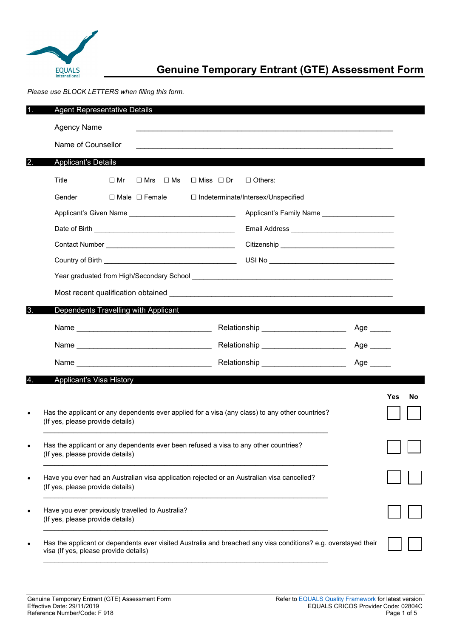

# **Genuine Temporary Entrant (GTE) Assessment Form**

*Please use BLOCK LETTERS when filling this form.*

| .1. | <b>Agent Representative Details</b>                                                                            |           |                           |                                                         |                                                                                                 |                           |     |    |
|-----|----------------------------------------------------------------------------------------------------------------|-----------|---------------------------|---------------------------------------------------------|-------------------------------------------------------------------------------------------------|---------------------------|-----|----|
|     | <b>Agency Name</b>                                                                                             |           |                           |                                                         |                                                                                                 |                           |     |    |
|     | Name of Counsellor                                                                                             |           |                           |                                                         |                                                                                                 |                           |     |    |
| 2.  | <b>Applicant's Details</b>                                                                                     |           |                           |                                                         |                                                                                                 |                           |     |    |
|     | Title                                                                                                          | $\Box$ Mr | $\Box$ Mrs $\Box$ Ms      | $\Box$ Miss $\Box$ Dr                                   | $\Box$ Others:                                                                                  |                           |     |    |
|     | Gender                                                                                                         |           | $\Box$ Male $\Box$ Female |                                                         | □ Indeterminate/Intersex/Unspecified                                                            |                           |     |    |
|     |                                                                                                                |           |                           | Applicant's Given Name ________________________________ | Applicant's Family Name ______________________                                                  |                           |     |    |
|     |                                                                                                                |           |                           |                                                         |                                                                                                 |                           |     |    |
|     |                                                                                                                |           |                           |                                                         |                                                                                                 |                           |     |    |
|     |                                                                                                                |           |                           |                                                         |                                                                                                 |                           |     |    |
|     |                                                                                                                |           |                           |                                                         |                                                                                                 |                           |     |    |
|     |                                                                                                                |           |                           |                                                         |                                                                                                 |                           |     |    |
| ΙЗ. | Dependents Travelling with Applicant                                                                           |           |                           |                                                         |                                                                                                 |                           |     |    |
|     |                                                                                                                |           |                           |                                                         | Relationship ________________________                                                           | Age _____                 |     |    |
|     |                                                                                                                |           |                           |                                                         | Relationship ______________________                                                             | $Age$ <sub>________</sub> |     |    |
|     |                                                                                                                |           |                           |                                                         | Relationship _______________________                                                            | Age                       |     |    |
|     | <b>Applicant's Visa History</b>                                                                                |           |                           |                                                         |                                                                                                 |                           |     |    |
|     |                                                                                                                |           |                           |                                                         |                                                                                                 |                           | Yes | No |
|     | (If yes, please provide details)                                                                               |           |                           |                                                         | Has the applicant or any dependents ever applied for a visa (any class) to any other countries? |                           |     |    |
|     | (If yes, please provide details)                                                                               |           |                           |                                                         | Has the applicant or any dependents ever been refused a visa to any other countries?            |                           |     |    |
|     | (If yes, please provide details)                                                                               |           |                           |                                                         | Have you ever had an Australian visa application rejected or an Australian visa cancelled?      |                           |     |    |
|     | Have you ever previously travelled to Australia?<br>(If yes, please provide details)                           |           |                           |                                                         |                                                                                                 |                           |     |    |
|     | Has the applicant or dependents ever visited Australia and breached any visa conditions? e.g. overstayed their |           |                           |                                                         |                                                                                                 |                           |     |    |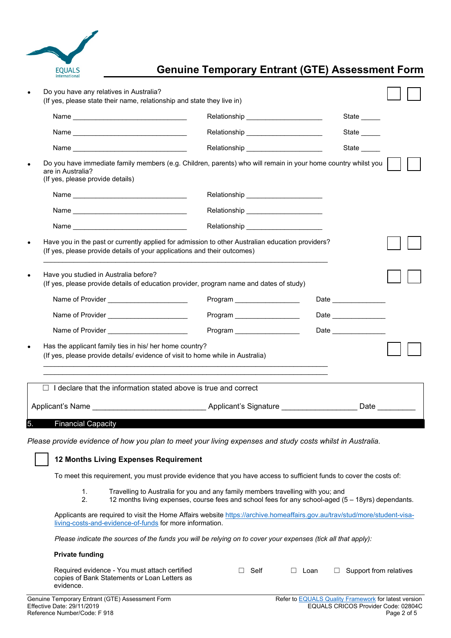

## **Genuine Temporary Entrant (GTE) Assessment Form**

|                                                                                                                                                                                                                                                                                                                                         | Relationship _______________________                                                                                    | State _____           |  |
|-----------------------------------------------------------------------------------------------------------------------------------------------------------------------------------------------------------------------------------------------------------------------------------------------------------------------------------------|-------------------------------------------------------------------------------------------------------------------------|-----------------------|--|
|                                                                                                                                                                                                                                                                                                                                         | Relationship ________________________                                                                                   | State                 |  |
|                                                                                                                                                                                                                                                                                                                                         | Relationship __________________________                                                                                 | State                 |  |
| are in Australia?<br>(If yes, please provide details)                                                                                                                                                                                                                                                                                   | Do you have immediate family members (e.g. Children, parents) who will remain in your home country whilst you           |                       |  |
|                                                                                                                                                                                                                                                                                                                                         | Relationship _________________________                                                                                  |                       |  |
|                                                                                                                                                                                                                                                                                                                                         | Relationship ______________________                                                                                     |                       |  |
|                                                                                                                                                                                                                                                                                                                                         | Relationship ________________________                                                                                   |                       |  |
|                                                                                                                                                                                                                                                                                                                                         | Have you in the past or currently applied for admission to other Australian education providers?                        |                       |  |
| Name of Provider _______________________                                                                                                                                                                                                                                                                                                | (If yes, please provide details of education provider, program name and dates of study)<br>Program ____________________ |                       |  |
| Name of Provider ________________________                                                                                                                                                                                                                                                                                               | Program ___________________                                                                                             | Date ______________   |  |
| Name of Provider _________________________                                                                                                                                                                                                                                                                                              | Program __________________                                                                                              | Date ________________ |  |
|                                                                                                                                                                                                                                                                                                                                         |                                                                                                                         |                       |  |
| (If yes, please provide details of your applications and their outcomes)<br>Have you studied in Australia before?<br>Has the applicant family ties in his/ her home country?<br>(If yes, please provide details/ evidence of visit to home while in Australia)<br>I declare that the information stated above is true and correct<br>П. |                                                                                                                         |                       |  |

*Please provide evidence of how you plan to meet your living expenses and study costs whilst in Australia.* 

### ☐ **12 Months Living Expenses Requirement**

To meet this requirement, you must provide evidence that you have access to sufficient funds to cover the costs of:

- 1. Travelling to Australia for you and any family members travelling with you; and
- 2. 12 months living expenses, course fees and school fees for any school-aged (5 18yrs) dependants.

Applicants are required to visit the Home Affairs website [https://archive.homeaffairs.gov.au/trav/stud/more/student-visa](https://archive.homeaffairs.gov.au/trav/stud/more/student-visa-living-costs-and-evidence-of-funds)[living-costs-and-evidence-of-funds](https://archive.homeaffairs.gov.au/trav/stud/more/student-visa-living-costs-and-evidence-of-funds) for more information.

*Please indicate the sources of the funds you will be relying on to cover your expenses (tick all that apply):* 

#### **Private funding**

| Required evidence - You must attach certified | $\Box$ Self | $\Box$ Loan | $\Box$ Support from relatives |
|-----------------------------------------------|-------------|-------------|-------------------------------|
| copies of Bank Statements or Loan Letters as  |             |             |                               |
| evidence.                                     |             |             |                               |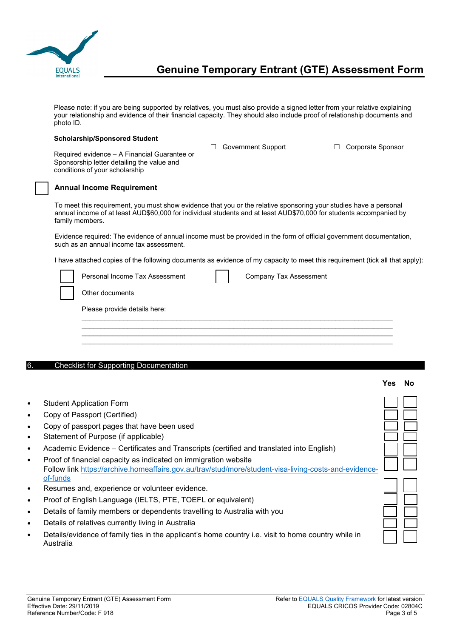

Please note: if you are being supported by relatives, you must also provide a signed letter from your relative explaining your relationship and evidence of their financial capacity. They should also include proof of relationship documents and photo ID.

#### **Scholarship/Sponsored Student**

☐ Government Support ☐ Corporate Sponsor

**Yes No**

☐ ☐

☐ ☐

Required evidence – A Financial Guarantee or Sponsorship letter detailing the value and conditions of your scholarship

### ☐ **Annual Income Requirement**

To meet this requirement, you must show evidence that you or the relative sponsoring your studies have a personal annual income of at least AUD\$60,000 for individual students and at least AUD\$70,000 for students accompanied by family members.

Evidence required: The evidence of annual income must be provided in the form of official government documentation, such as an annual income tax assessment.

I have attached copies of the following documents as evidence of my capacity to meet this requirement (tick all that apply):

| Personal Income Tax Assessment | <b>Company Tax Assessment</b> |  |
|--------------------------------|-------------------------------|--|
| Other documents                |                               |  |
| Please provide details here:   |                               |  |
|                                |                               |  |
|                                |                               |  |

#### 6. Checklist for Supporting Documentation

- **Student Application Form**
- Copy of Passport (Certified)
- Copy of passport pages that have been used
- Statement of Purpose (if applicable)
- Academic Evidence Certificates and Transcripts (certified and translated into English) ☐ ☐
- Proof of financial capacity as indicated on immigration website Follow link [https://archive.homeaffairs.gov.au/trav/stud/more/student-visa-living-costs-and-evidence](https://archive.homeaffairs.gov.au/trav/stud/more/student-visa-living-costs-and-evidence-of-funds)[of-funds](https://archive.homeaffairs.gov.au/trav/stud/more/student-visa-living-costs-and-evidence-of-funds)
- Resumes and, experience or volunteer evidence.
- Proof of English Language (IELTS, PTE, TOEFL or equivalent)
- Details of family members or dependents travelling to Australia with you
- Details of relatives currently living in Australia
- Details/evidence of family ties in the applicant's home country i.e. visit to home country while in Australia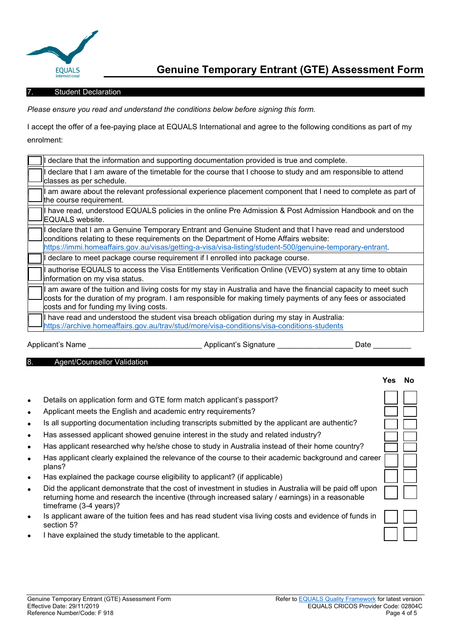

#### **Student Declaration**

*Please ensure you read and understand the conditions below before signing this form.* 

I accept the offer of a fee-paying place at EQUALS International and agree to the following conditions as part of my enrolment:

| I declare that the information and supporting documentation provided is true and complete.                                                                                                                                                                                                                  |
|-------------------------------------------------------------------------------------------------------------------------------------------------------------------------------------------------------------------------------------------------------------------------------------------------------------|
| I declare that I am aware of the timetable for the course that I choose to study and am responsible to attend<br>classes as per schedule.                                                                                                                                                                   |
| I am aware about the relevant professional experience placement component that I need to complete as part of<br>the course requirement.                                                                                                                                                                     |
| I have read, understood EQUALS policies in the online Pre Admission & Post Admission Handbook and on the<br>EQUALS website.                                                                                                                                                                                 |
| I declare that I am a Genuine Temporary Entrant and Genuine Student and that I have read and understood<br>conditions relating to these requirements on the Department of Home Affairs website:<br>https://immi.homeaffairs.gov.au/visas/getting-a-visa/visa-listing/student-500/genuine-temporary-entrant. |
| I declare to meet package course requirement if I enrolled into package course.                                                                                                                                                                                                                             |
| I authorise EQUALS to access the Visa Entitlements Verification Online (VEVO) system at any time to obtain<br>information on my visa status.                                                                                                                                                                |
| am aware of the tuition and living costs for my stay in Australia and have the financial capacity to meet such<br>costs for the duration of my program. I am responsible for making timely payments of any fees or associated<br>costs and for funding my living costs.                                     |
| I have read and understood the student visa breach obligation during my stay in Australia:<br>https://archive.homeaffairs.gov.au/trav/stud/more/visa-conditions/visa-conditions-students                                                                                                                    |
| Applicant's Name<br>Applicant's Signature<br>Date                                                                                                                                                                                                                                                           |

8. Agent/Counsellor Validation

|                        |                                                                                                                                                                                                                                      | Yes | No |
|------------------------|--------------------------------------------------------------------------------------------------------------------------------------------------------------------------------------------------------------------------------------|-----|----|
| $\bullet$              | Details on application form and GTE form match applicant's passport?<br>Applicant meets the English and academic entry requirements?                                                                                                 |     |    |
| $\bullet$<br>$\bullet$ | Is all supporting documentation including transcripts submitted by the applicant are authentic?                                                                                                                                      |     |    |
| $\bullet$<br>$\bullet$ | Has assessed applicant showed genuine interest in the study and related industry?<br>Has applicant researched why he/she chose to study in Australia instead of their home country?                                                  |     |    |
| $\bullet$<br>$\bullet$ | Has applicant clearly explained the relevance of the course to their academic background and career<br>plans?<br>Has explained the package course eligibility to applicant? (if applicable)                                          |     |    |
| $\bullet$              | Did the applicant demonstrate that the cost of investment in studies in Australia will be paid off upon<br>returning home and research the incentive (through increased salary / earnings) in a reasonable<br>timeframe (3-4 years)? |     |    |
| $\bullet$              | Is applicant aware of the tuition fees and has read student visa living costs and evidence of funds in<br>section 5?                                                                                                                 |     |    |
|                        | I have explained the study timetable to the applicant.                                                                                                                                                                               |     |    |